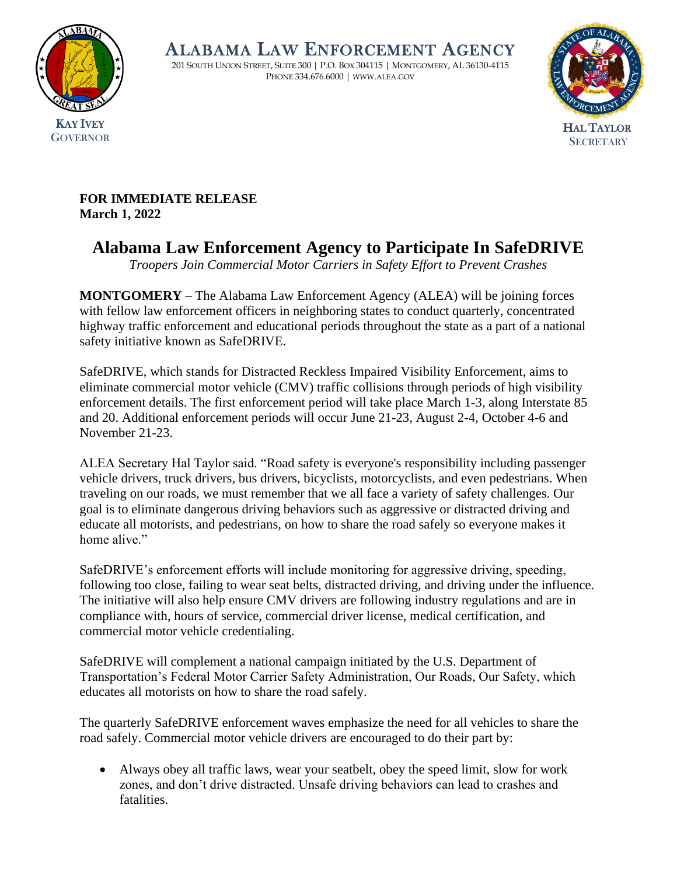

ALABAMA LAW ENFORCEMENT AGENCY

201 SOUTH UNION STREET, SUITE 300 | P.O. BOX 304115 | MONTGOMERY, AL 36130-4115 PHONE 334.676.6000 | WWW.ALEA.GOV



**FOR IMMEDIATE RELEASE March 1, 2022**

## **Alabama Law Enforcement Agency to Participate In SafeDRIVE**

*Troopers Join Commercial Motor Carriers in Safety Effort to Prevent Crashes*

**MONTGOMERY** – The Alabama Law Enforcement Agency (ALEA) will be joining forces with fellow law enforcement officers in neighboring states to conduct quarterly, concentrated highway traffic enforcement and educational periods throughout the state as a part of a national safety initiative known as SafeDRIVE.

SafeDRIVE, which stands for Distracted Reckless Impaired Visibility Enforcement, aims to eliminate commercial motor vehicle (CMV) traffic collisions through periods of high visibility enforcement details. The first enforcement period will take place March 1-3, along Interstate 85 and 20. Additional enforcement periods will occur June 21-23, August 2-4, October 4-6 and November 21-23.

ALEA Secretary Hal Taylor said. "Road safety is everyone's responsibility including passenger vehicle drivers, truck drivers, bus drivers, bicyclists, motorcyclists, and even pedestrians. When traveling on our roads, we must remember that we all face a variety of safety challenges. Our goal is to eliminate dangerous driving behaviors such as aggressive or distracted driving and educate all motorists, and pedestrians, on how to share the road safely so everyone makes it home alive."

SafeDRIVE's enforcement efforts will include monitoring for aggressive driving, speeding, following too close, failing to wear seat belts, distracted driving, and driving under the influence. The initiative will also help ensure CMV drivers are following industry regulations and are in compliance with, hours of service, commercial driver license, medical certification, and commercial motor vehicle credentialing.

SafeDRIVE will complement a national campaign initiated by the U.S. Department of Transportation's Federal Motor Carrier Safety Administration, Our Roads, Our Safety, which educates all motorists on how to share the road safely.

The quarterly SafeDRIVE enforcement waves emphasize the need for all vehicles to share the road safely. Commercial motor vehicle drivers are encouraged to do their part by:

• Always obey all traffic laws, wear your seatbelt, obey the speed limit, slow for work zones, and don't drive distracted. Unsafe driving behaviors can lead to crashes and fatalities.